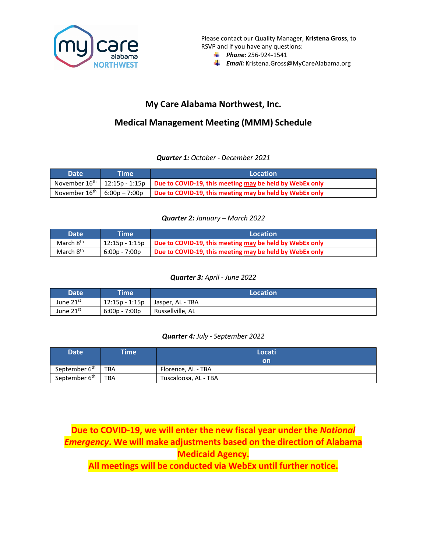

Please contact our Quality Manager, **Kristena Gross**, to RSVP and if you have any questions:

- *Phone:* 256-924-1541
- **Email:** [Kristena.Gross@MyCareAlabama.org](mailto:Kristena.Gross@MyCareAlabama.org)

## **My Care Alabama Northwest, Inc.**

# **Medical Management Meeting (MMM) Schedule**

### *Quarter 1: October - December 2021*

| Date <sup>1</sup> | Time | Location                                                                                                          |
|-------------------|------|-------------------------------------------------------------------------------------------------------------------|
|                   |      | November 16 <sup>th</sup>   12:15p - 1:15p   Due to COVID-19, this meeting may be held by WebEx only              |
|                   |      | November 16 <sup>th</sup>   6:00p – 7:00p   <b>Due to COVID-19, this meeting <u>may</u> be held by WebEx only</b> |

### *Quarter 2: January – March 2022*

| <b>Date</b>           | Time '          | Location                                                |
|-----------------------|-----------------|---------------------------------------------------------|
| March 8 <sup>th</sup> | 12:15p - 1:15p  | Due to COVID-19, this meeting may be held by WebEx only |
| March 8 <sup>th</sup> | $6:00p - 7:00p$ | Due to COVID-19, this meeting may be held by WebEx only |

### *Quarter 3: April - June 2022*

| <b>Date</b>           | <b>Time</b>     | Location         |
|-----------------------|-----------------|------------------|
| June 21st             | 12:15p - 1:15p  | Jasper, AL - TBA |
| June 21 <sup>st</sup> | $6:00p - 7:00p$ | Russellville, AL |

### *Quarter 4: July - September 2022*

| <b>Date</b>               | <b>Time</b> | Locati               |
|---------------------------|-------------|----------------------|
|                           |             | on                   |
| September 6 <sup>th</sup> | <b>TBA</b>  | Florence, AL - TBA   |
| September 6 <sup>th</sup> | <b>TBA</b>  | Tuscaloosa, AL - TBA |

# **Due to COVID-19, we will enter the new fiscal year under the** *National Emergency***. We will make adjustments based on the direction of Alabama Medicaid Agency.**

**All meetings will be conducted via WebEx until further notice.**